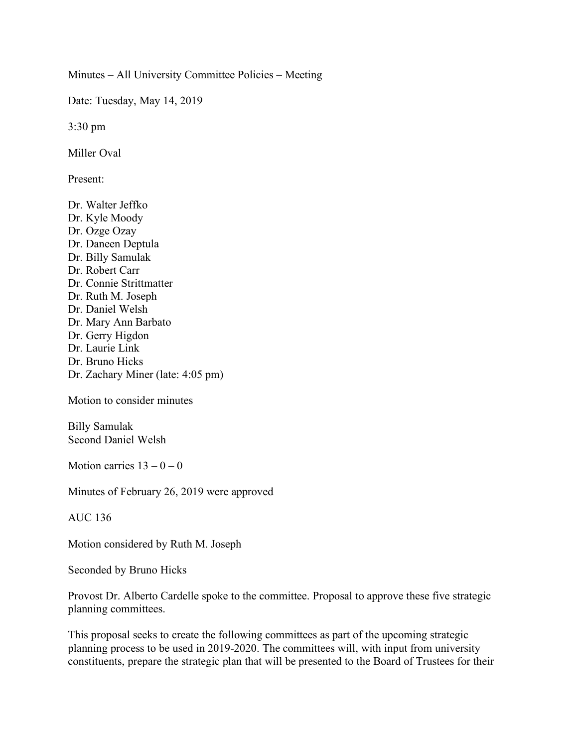Minutes – All University Committee Policies – Meeting

Date: Tuesday, May 14, 2019

3:30 pm

Miller Oval

Present:

Dr. Walter Jeffko Dr. Kyle Moody Dr. Ozge Ozay Dr. Daneen Deptula Dr. Billy Samulak Dr. Robert Carr Dr. Connie Strittmatter Dr. Ruth M. Joseph Dr. Daniel Welsh Dr. Mary Ann Barbato Dr. Gerry Higdon Dr. Laurie Link Dr. Bruno Hicks Dr. Zachary Miner (late: 4:05 pm)

Motion to consider minutes

Billy Samulak Second Daniel Welsh

Motion carries  $13 - 0 - 0$ 

Minutes of February 26, 2019 were approved

AUC 136

Motion considered by Ruth M. Joseph

Seconded by Bruno Hicks

Provost Dr. Alberto Cardelle spoke to the committee. Proposal to approve these five strategic planning committees.

This proposal seeks to create the following committees as part of the upcoming strategic planning process to be used in 2019-2020. The committees will, with input from university constituents, prepare the strategic plan that will be presented to the Board of Trustees for their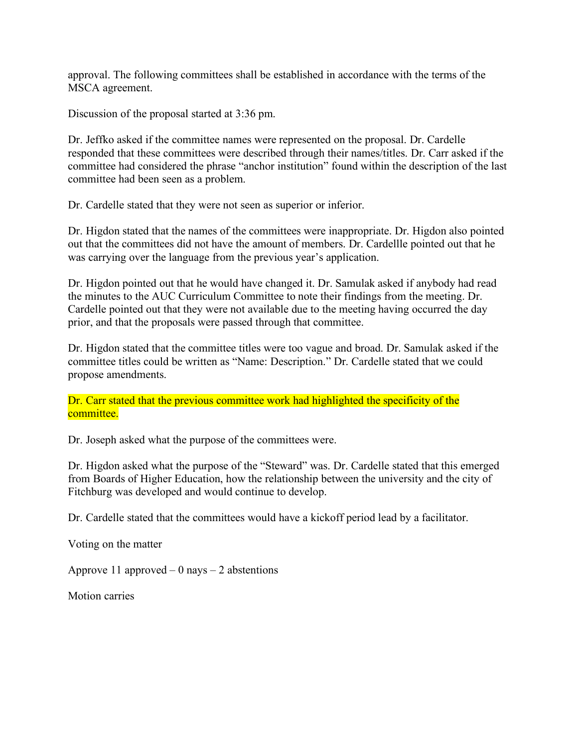approval. The following committees shall be established in accordance with the terms of the MSCA agreement.

Discussion of the proposal started at 3:36 pm.

Dr. Jeffko asked if the committee names were represented on the proposal. Dr. Cardelle responded that these committees were described through their names/titles. Dr. Carr asked if the committee had considered the phrase "anchor institution" found within the description of the last committee had been seen as a problem.

Dr. Cardelle stated that they were not seen as superior or inferior.

Dr. Higdon stated that the names of the committees were inappropriate. Dr. Higdon also pointed out that the committees did not have the amount of members. Dr. Cardellle pointed out that he was carrying over the language from the previous year's application.

Dr. Higdon pointed out that he would have changed it. Dr. Samulak asked if anybody had read the minutes to the AUC Curriculum Committee to note their findings from the meeting. Dr. Cardelle pointed out that they were not available due to the meeting having occurred the day prior, and that the proposals were passed through that committee.

Dr. Higdon stated that the committee titles were too vague and broad. Dr. Samulak asked if the committee titles could be written as "Name: Description." Dr. Cardelle stated that we could propose amendments.

Dr. Carr stated that the previous committee work had highlighted the specificity of the committee.

Dr. Joseph asked what the purpose of the committees were.

Dr. Higdon asked what the purpose of the "Steward" was. Dr. Cardelle stated that this emerged from Boards of Higher Education, how the relationship between the university and the city of Fitchburg was developed and would continue to develop.

Dr. Cardelle stated that the committees would have a kickoff period lead by a facilitator.

Voting on the matter

Approve 11 approved  $-0$  nays  $-2$  abstentions

Motion carries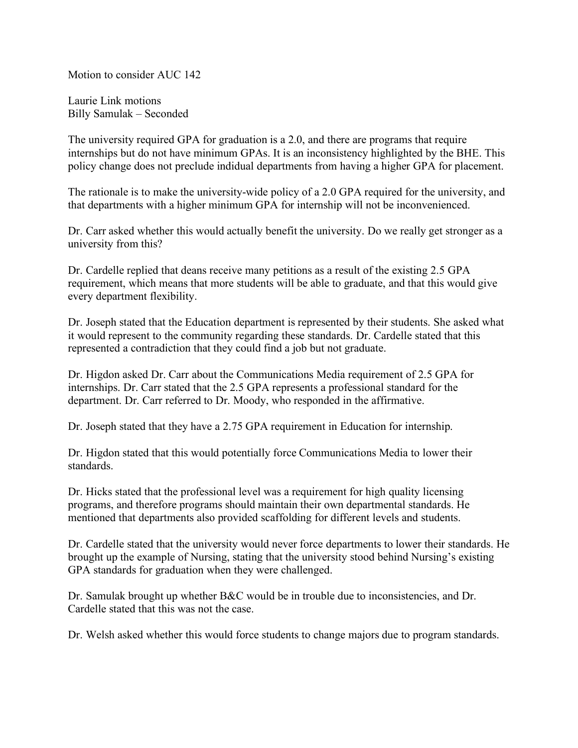Motion to consider AUC 142

Laurie Link motions Billy Samulak – Seconded

The university required GPA for graduation is a 2.0, and there are programs that require internships but do not have minimum GPAs. It is an inconsistency highlighted by the BHE. This policy change does not preclude indidual departments from having a higher GPA for placement.

The rationale is to make the university-wide policy of a 2.0 GPA required for the university, and that departments with a higher minimum GPA for internship will not be inconvenienced.

Dr. Carr asked whether this would actually benefit the university. Do we really get stronger as a university from this?

Dr. Cardelle replied that deans receive many petitions as a result of the existing 2.5 GPA requirement, which means that more students will be able to graduate, and that this would give every department flexibility.

Dr. Joseph stated that the Education department is represented by their students. She asked what it would represent to the community regarding these standards. Dr. Cardelle stated that this represented a contradiction that they could find a job but not graduate.

Dr. Higdon asked Dr. Carr about the Communications Media requirement of 2.5 GPA for internships. Dr. Carr stated that the 2.5 GPA represents a professional standard for the department. Dr. Carr referred to Dr. Moody, who responded in the affirmative.

Dr. Joseph stated that they have a 2.75 GPA requirement in Education for internship.

Dr. Higdon stated that this would potentially force Communications Media to lower their standards.

Dr. Hicks stated that the professional level was a requirement for high quality licensing programs, and therefore programs should maintain their own departmental standards. He mentioned that departments also provided scaffolding for different levels and students.

Dr. Cardelle stated that the university would never force departments to lower their standards. He brought up the example of Nursing, stating that the university stood behind Nursing's existing GPA standards for graduation when they were challenged.

Dr. Samulak brought up whether B&C would be in trouble due to inconsistencies, and Dr. Cardelle stated that this was not the case.

Dr. Welsh asked whether this would force students to change majors due to program standards.